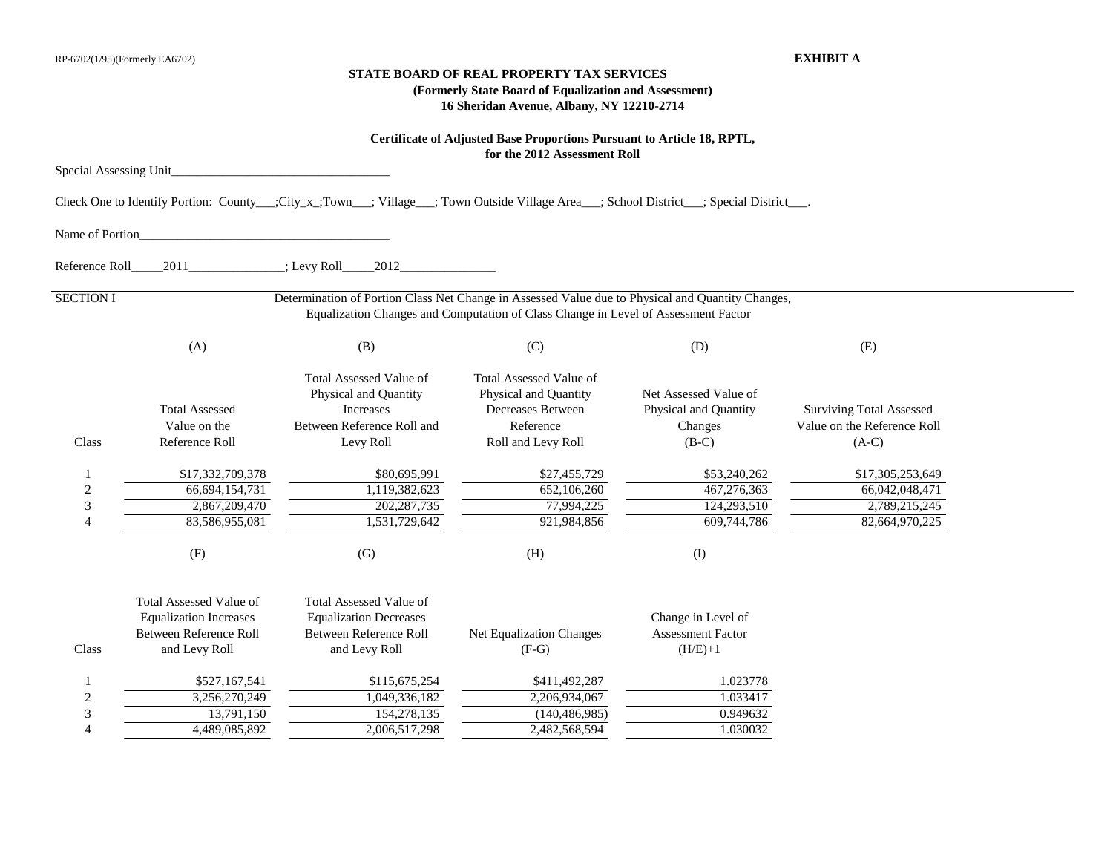## **STATE BOARD OF REAL PROPERTY TAX SERVICES (Formerly State Board of Equalization and Assessment) 16 Sheridan Avenue, Albany, NY 12210-2714**

|                                                 |                                                                                                            |                                                                                                                                         | Certificate of Adjusted Base Proportions Pursuant to Article 18, RPTL,<br>for the 2012 Assessment Roll          |                                                                      |                                                                           |  |
|-------------------------------------------------|------------------------------------------------------------------------------------------------------------|-----------------------------------------------------------------------------------------------------------------------------------------|-----------------------------------------------------------------------------------------------------------------|----------------------------------------------------------------------|---------------------------------------------------------------------------|--|
| Special Assessing Unit                          |                                                                                                            |                                                                                                                                         |                                                                                                                 |                                                                      |                                                                           |  |
|                                                 |                                                                                                            | Check One to Identify Portion: County__;City_x_;Town__; Village__; Town Outside Village Area__; School District__; Special District___. |                                                                                                                 |                                                                      |                                                                           |  |
| Name of Portion                                 |                                                                                                            |                                                                                                                                         |                                                                                                                 |                                                                      |                                                                           |  |
| Reference Roll                                  | 2011                                                                                                       | : Levy Roll<br>2012                                                                                                                     |                                                                                                                 |                                                                      |                                                                           |  |
| <b>SECTION I</b>                                |                                                                                                            | Determination of Portion Class Net Change in Assessed Value due to Physical and Quantity Changes,                                       | Equalization Changes and Computation of Class Change in Level of Assessment Factor                              |                                                                      |                                                                           |  |
|                                                 | (A)                                                                                                        | (B)                                                                                                                                     | (C)                                                                                                             | (D)                                                                  | (E)                                                                       |  |
| Class                                           | <b>Total Assessed</b><br>Value on the<br>Reference Roll                                                    | <b>Total Assessed Value of</b><br>Physical and Quantity<br>Increases<br>Between Reference Roll and<br>Levy Roll                         | <b>Total Assessed Value of</b><br>Physical and Quantity<br>Decreases Between<br>Reference<br>Roll and Levy Roll | Net Assessed Value of<br>Physical and Quantity<br>Changes<br>$(B-C)$ | <b>Surviving Total Assessed</b><br>Value on the Reference Roll<br>$(A-C)$ |  |
| $\boldsymbol{2}$<br>$\ensuremath{\mathfrak{Z}}$ | \$17,332,709,378<br>66,694,154,731<br>2,867,209,470<br>83,586,955,081                                      | \$80,695,991<br>1,119,382,623<br>202, 287, 735<br>1,531,729,642                                                                         | \$27,455,729<br>652,106,260<br>77,994,225<br>921,984,856                                                        | \$53,240,262<br>467,276,363<br>124,293,510<br>609,744,786            | \$17,305,253,649<br>66,042,048,471<br>2,789,215,245<br>82,664,970,225     |  |
|                                                 | (F)                                                                                                        | (G)                                                                                                                                     | (H)                                                                                                             | (1)                                                                  |                                                                           |  |
| Class                                           | <b>Total Assessed Value of</b><br><b>Equalization Increases</b><br>Between Reference Roll<br>and Levy Roll | <b>Total Assessed Value of</b><br><b>Equalization Decreases</b><br>Between Reference Roll<br>and Levy Roll                              | Net Equalization Changes<br>$(F-G)$                                                                             | Change in Level of<br><b>Assessment Factor</b><br>$(H/E)+1$          |                                                                           |  |
| $\boldsymbol{2}$<br>3                           | \$527,167,541<br>3,256,270,249<br>13,791,150<br>4,489,085,892                                              | \$115,675,254<br>1,049,336,182<br>154,278,135<br>2,006,517,298                                                                          | \$411,492,287<br>2,206,934,067<br>(140, 486, 985)<br>2,482,568,594                                              | 1.023778<br>1.033417<br>0.949632<br>1.030032                         |                                                                           |  |